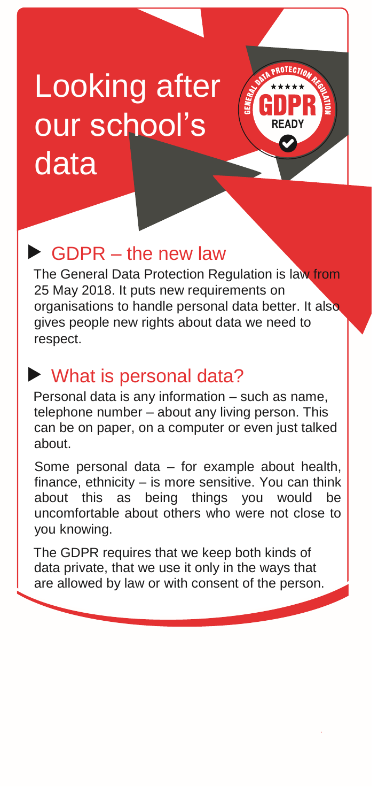# Looking after our school's data



The General Data Protection Regulation is law from 25 May 2018. It puts new requirements on organisations to handle personal data better. It also gives people new rights about data we need to respect.

**OTECTIO** 

### What is personal data?

Personal data is any information – such as name, telephone number – about any living person. This can be on paper, on a computer or even just talked about.

Some personal data – for example about health, finance, ethnicity – is more sensitive. You can think about this as being things you would be uncomfortable about others who were not close to you knowing.

The GDPR requires that we keep both kinds of data private, that we use it only in the ways that are allowed by law or with consent of the person.